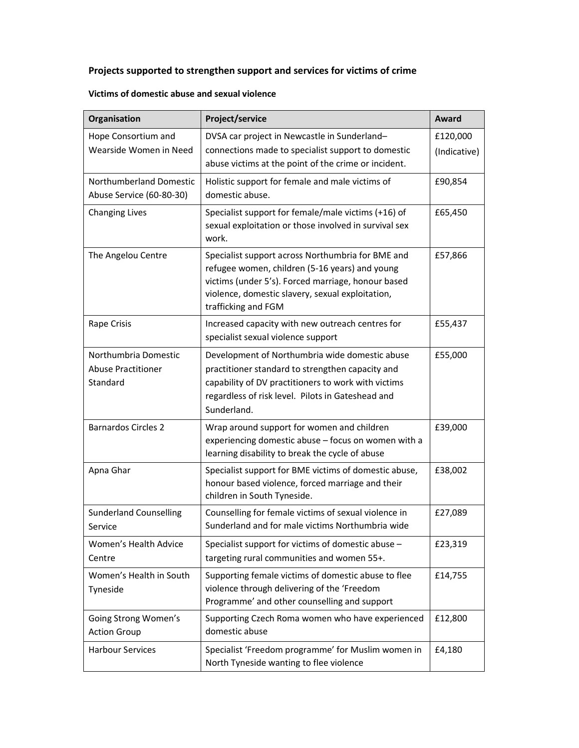# **Projects supported to strengthen support and services for victims of crime**

| Organisation                                                  | Project/service                                                                                                                                                                                                                      | <b>Award</b>             |
|---------------------------------------------------------------|--------------------------------------------------------------------------------------------------------------------------------------------------------------------------------------------------------------------------------------|--------------------------|
| Hope Consortium and<br>Wearside Women in Need                 | DVSA car project in Newcastle in Sunderland-<br>connections made to specialist support to domestic<br>abuse victims at the point of the crime or incident.                                                                           | £120,000<br>(Indicative) |
| Northumberland Domestic<br>Abuse Service (60-80-30)           | Holistic support for female and male victims of<br>domestic abuse.                                                                                                                                                                   | £90,854                  |
| <b>Changing Lives</b>                                         | Specialist support for female/male victims (+16) of<br>sexual exploitation or those involved in survival sex<br>work.                                                                                                                | £65,450                  |
| The Angelou Centre                                            | Specialist support across Northumbria for BME and<br>refugee women, children (5-16 years) and young<br>victims (under 5's). Forced marriage, honour based<br>violence, domestic slavery, sexual exploitation,<br>trafficking and FGM | £57,866                  |
| Rape Crisis                                                   | Increased capacity with new outreach centres for<br>specialist sexual violence support                                                                                                                                               | £55,437                  |
| Northumbria Domestic<br><b>Abuse Practitioner</b><br>Standard | Development of Northumbria wide domestic abuse<br>practitioner standard to strengthen capacity and<br>capability of DV practitioners to work with victims<br>regardless of risk level. Pilots in Gateshead and<br>Sunderland.        | £55,000                  |
| <b>Barnardos Circles 2</b>                                    | Wrap around support for women and children<br>experiencing domestic abuse - focus on women with a<br>learning disability to break the cycle of abuse                                                                                 | £39,000                  |
| Apna Ghar                                                     | Specialist support for BME victims of domestic abuse,<br>honour based violence, forced marriage and their<br>children in South Tyneside.                                                                                             | £38,002                  |
| <b>Sunderland Counselling</b><br>Service                      | Counselling for female victims of sexual violence in<br>Sunderland and for male victims Northumbria wide                                                                                                                             | £27,089                  |
| Women's Health Advice<br>Centre                               | Specialist support for victims of domestic abuse -<br>targeting rural communities and women 55+.                                                                                                                                     | £23,319                  |
| Women's Health in South<br>Tyneside                           | Supporting female victims of domestic abuse to flee<br>violence through delivering of the 'Freedom<br>Programme' and other counselling and support                                                                                   | £14,755                  |
| Going Strong Women's<br><b>Action Group</b>                   | Supporting Czech Roma women who have experienced<br>domestic abuse                                                                                                                                                                   | £12,800                  |
| <b>Harbour Services</b>                                       | Specialist 'Freedom programme' for Muslim women in<br>North Tyneside wanting to flee violence                                                                                                                                        | £4,180                   |

### **Victims of domestic abuse and sexual violence**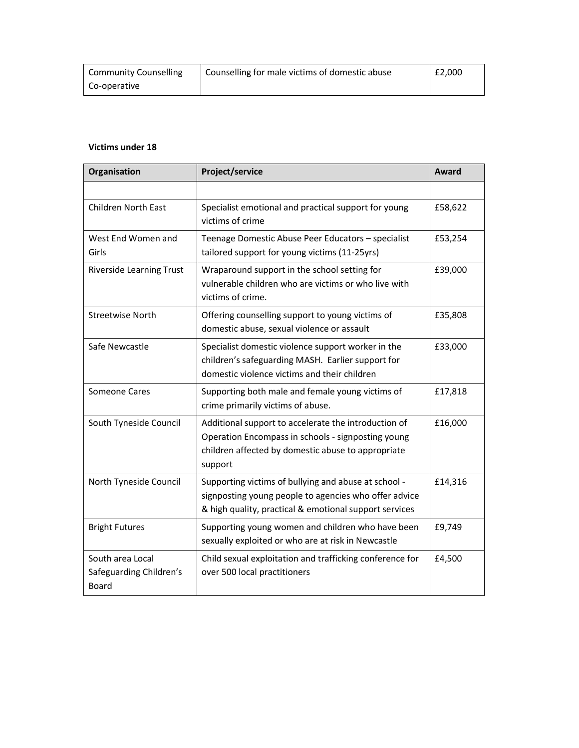| <b>Community Counselling</b> | Counselling for male victims of domestic abuse | £2,000 |
|------------------------------|------------------------------------------------|--------|
| Co-operative                 |                                                |        |

### **Victims under 18**

| Organisation                                                | Project/service                                                                                                                                                             | Award   |
|-------------------------------------------------------------|-----------------------------------------------------------------------------------------------------------------------------------------------------------------------------|---------|
|                                                             |                                                                                                                                                                             |         |
| <b>Children North East</b>                                  | Specialist emotional and practical support for young<br>victims of crime                                                                                                    | £58,622 |
| West End Women and<br>Girls                                 | Teenage Domestic Abuse Peer Educators - specialist<br>tailored support for young victims (11-25yrs)                                                                         | £53,254 |
| <b>Riverside Learning Trust</b>                             | Wraparound support in the school setting for<br>vulnerable children who are victims or who live with<br>victims of crime.                                                   | £39,000 |
| <b>Streetwise North</b>                                     | Offering counselling support to young victims of<br>domestic abuse, sexual violence or assault                                                                              | £35,808 |
| Safe Newcastle                                              | Specialist domestic violence support worker in the<br>children's safeguarding MASH. Earlier support for<br>domestic violence victims and their children                     | £33,000 |
| <b>Someone Cares</b>                                        | Supporting both male and female young victims of<br>crime primarily victims of abuse.                                                                                       | £17,818 |
| South Tyneside Council                                      | Additional support to accelerate the introduction of<br>Operation Encompass in schools - signposting young<br>children affected by domestic abuse to appropriate<br>support | £16,000 |
| North Tyneside Council                                      | Supporting victims of bullying and abuse at school -<br>signposting young people to agencies who offer advice<br>& high quality, practical & emotional support services     | £14,316 |
| <b>Bright Futures</b>                                       | Supporting young women and children who have been<br>sexually exploited or who are at risk in Newcastle                                                                     | £9,749  |
| South area Local<br>Safeguarding Children's<br><b>Board</b> | Child sexual exploitation and trafficking conference for<br>over 500 local practitioners                                                                                    | £4,500  |